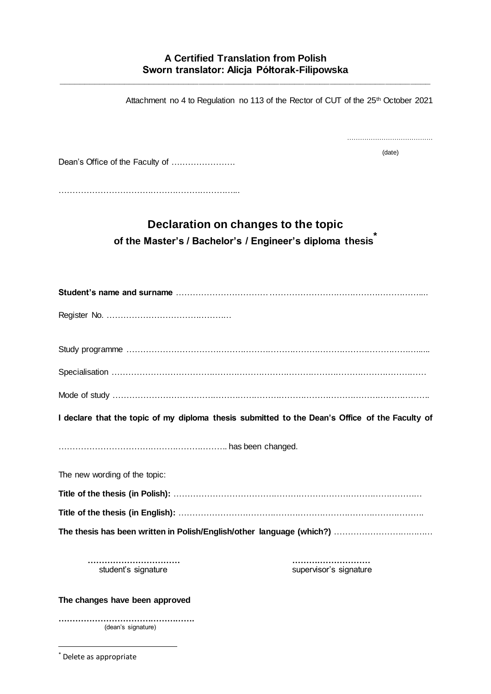**\_\_\_\_\_\_\_\_\_\_\_\_\_\_\_\_\_\_\_\_\_\_\_\_\_\_\_\_\_\_\_\_\_\_\_\_\_\_\_\_\_\_\_\_\_\_\_\_\_\_\_\_\_\_\_\_\_\_\_\_\_\_\_\_\_\_\_\_\_\_\_\_\_\_**

|                                                                                                 | Attachment no 4 to Regulation no 113 of the Rector of CUT of the 25th October 2021 |
|-------------------------------------------------------------------------------------------------|------------------------------------------------------------------------------------|
| Dean's Office of the Faculty of                                                                 | (date)                                                                             |
| Declaration on changes to the topic<br>of the Master's / Bachelor's / Engineer's diploma thesis |                                                                                    |
|                                                                                                 |                                                                                    |
|                                                                                                 |                                                                                    |
|                                                                                                 |                                                                                    |
|                                                                                                 |                                                                                    |
|                                                                                                 |                                                                                    |
| I declare that the topic of my diploma thesis submitted to the Dean's Office of the Faculty of  |                                                                                    |
|                                                                                                 |                                                                                    |
| The new wording of the topic:                                                                   |                                                                                    |
|                                                                                                 |                                                                                    |
|                                                                                                 |                                                                                    |
|                                                                                                 |                                                                                    |
| student's signature                                                                             | supervisor's signature                                                             |
| The changes have been approved                                                                  |                                                                                    |
|                                                                                                 |                                                                                    |

(dean's signature)

-